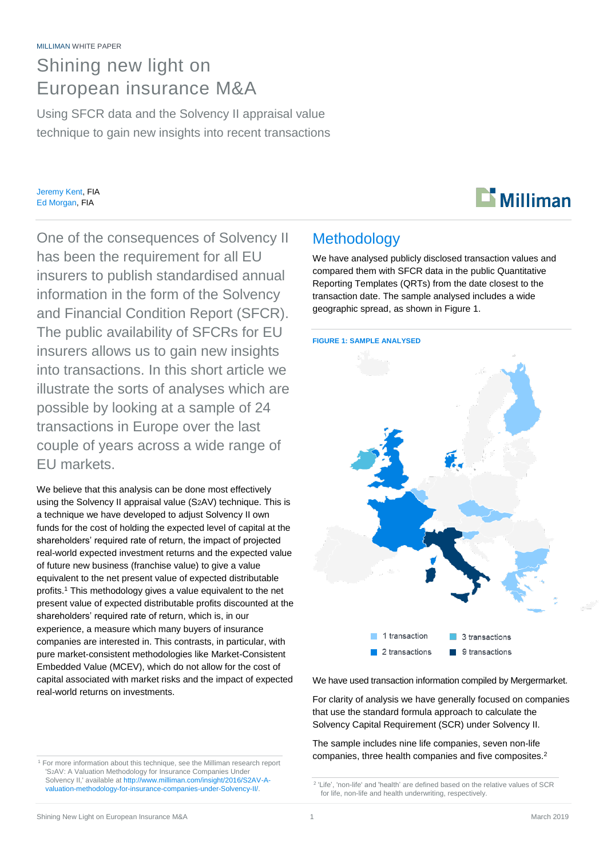# Shining new light on European insurance M&A

Using SFCR data and the Solvency II appraisal value technique to gain new insights into recent transactions

Jeremy Kent, FIA Ed Morgan, FIA



One of the consequences of Solvency II has been the requirement for all EU insurers to publish standardised annual information in the form of the Solvency and Financial Condition Report (SFCR). The public availability of SFCRs for EU insurers allows us to gain new insights into transactions. In this short article we illustrate the sorts of analyses which are possible by looking at a sample of 24 transactions in Europe over the last couple of years across a wide range of EU markets.

We believe that this analysis can be done most effectively using the Solvency II appraisal value (S2AV) technique. This is a technique we have developed to adjust Solvency II own funds for the cost of holding the expected level of capital at the shareholders' required rate of return, the impact of projected real-world expected investment returns and the expected value of future new business (franchise value) to give a value equivalent to the net present value of expected distributable profits. <sup>1</sup> This methodology gives a value equivalent to the net present value of expected distributable profits discounted at the shareholders' required rate of return, which is, in our experience, a measure which many buyers of insurance companies are interested in. This contrasts, in particular, with pure market-consistent methodologies like Market-Consistent Embedded Value (MCEV), which do not allow for the cost of capital associated with market risks and the impact of expected real-world returns on investments.

#### <sup>1</sup> For more information about this technique, see the Milliman research report 'S2AV: A Valuation Methodology for Insurance Companies Under Solvency II,' available a[t http://www.milliman.com/insight/2016/S2AV-A](http://www.milliman.com/insight/2016/S2AV-A-valuation-methodology-for-insurance-companies-under-Solvency-II/)[valuation-methodology-for-insurance-companies-under-Solvency-II/.](http://www.milliman.com/insight/2016/S2AV-A-valuation-methodology-for-insurance-companies-under-Solvency-II/)

### **Methodology**

We have analysed publicly disclosed transaction values and compared them with SFCR data in the public Quantitative Reporting Templates (QRTs) from the date closest to the transaction date. The sample analysed includes a wide geographic spread, as shown in Figure 1.

#### **FIGURE 1: SAMPLE ANALYSED**



We have used transaction information compiled by Mergermarket.

For clarity of analysis we have generally focused on companies that use the standard formula approach to calculate the Solvency Capital Requirement (SCR) under Solvency II.

The sample includes nine life companies, seven non-life companies, three health companies and five composites.<sup>2</sup>

<sup>2</sup> 'Life', 'non-life' and 'health' are defined based on the relative values of SCR for life, non-life and health underwriting, respectively.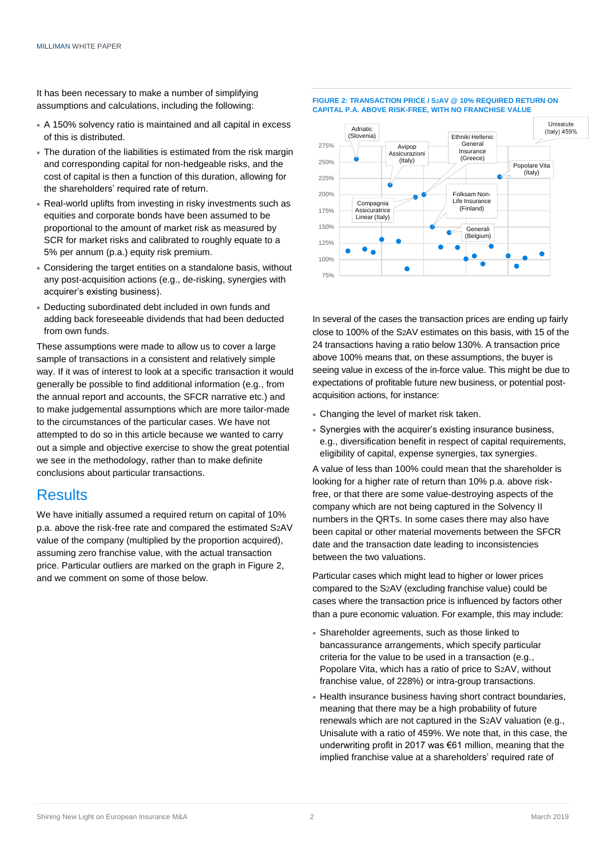It has been necessary to make a number of simplifying assumptions and calculations, including the following:

- A 150% solvency ratio is maintained and all capital in excess of this is distributed.
- The duration of the liabilities is estimated from the risk margin and corresponding capital for non-hedgeable risks, and the cost of capital is then a function of this duration, allowing for the shareholders' required rate of return.
- Real-world uplifts from investing in risky investments such as equities and corporate bonds have been assumed to be proportional to the amount of market risk as measured by SCR for market risks and calibrated to roughly equate to a 5% per annum (p.a.) equity risk premium.
- Considering the target entities on a standalone basis, without any post-acquisition actions (e.g., de-risking, synergies with acquirer's existing business).
- Deducting subordinated debt included in own funds and adding back foreseeable dividends that had been deducted from own funds.

These assumptions were made to allow us to cover a large sample of transactions in a consistent and relatively simple way. If it was of interest to look at a specific transaction it would generally be possible to find additional information (e.g., from the annual report and accounts, the SFCR narrative etc.) and to make judgemental assumptions which are more tailor-made to the circumstances of the particular cases. We have not attempted to do so in this article because we wanted to carry out a simple and objective exercise to show the great potential we see in the methodology, rather than to make definite conclusions about particular transactions.

### **Results**

We have initially assumed a required return on capital of 10% p.a. above the risk-free rate and compared the estimated S2AV value of the company (multiplied by the proportion acquired), assuming zero franchise value, with the actual transaction price. Particular outliers are marked on the graph in Figure 2, and we comment on some of those below.



In several of the cases the transaction prices are ending up fairly close to 100% of the S2AV estimates on this basis, with 15 of the 24 transactions having a ratio below 130%. A transaction price above 100% means that, on these assumptions, the buyer is seeing value in excess of the in-force value. This might be due to expectations of profitable future new business, or potential postacquisition actions, for instance:

- Changing the level of market risk taken.
- Synergies with the acquirer's existing insurance business, e.g., diversification benefit in respect of capital requirements, eligibility of capital, expense synergies, tax synergies.

A value of less than 100% could mean that the shareholder is looking for a higher rate of return than 10% p.a. above riskfree, or that there are some value-destroying aspects of the company which are not being captured in the Solvency II numbers in the QRTs. In some cases there may also have been capital or other material movements between the SFCR date and the transaction date leading to inconsistencies between the two valuations.

Particular cases which might lead to higher or lower prices compared to the S2AV (excluding franchise value) could be cases where the transaction price is influenced by factors other than a pure economic valuation. For example, this may include:

- Shareholder agreements, such as those linked to bancassurance arrangements, which specify particular criteria for the value to be used in a transaction (e.g., Popolare Vita, which has a ratio of price to S2AV, without franchise value, of 228%) or intra-group transactions.
- Health insurance business having short contract boundaries, meaning that there may be a high probability of future renewals which are not captured in the S2AV valuation (e.g., Unisalute with a ratio of 459%. We note that, in this case, the underwriting profit in 2017 was €61 million, meaning that the implied franchise value at a shareholders' required rate of

#### **FIGURE 2: TRANSACTION PRICE / S2AV @ 10% REQUIRED RETURN ON CAPITAL P.A. ABOVE RISK-FREE, WITH NO FRANCHISE VALUE**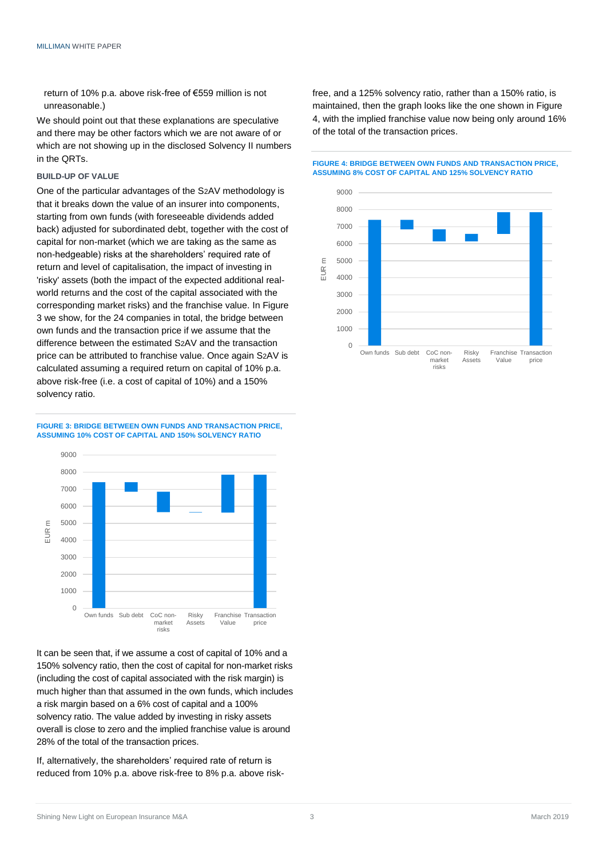return of 10% p.a. above risk-free of €559 million is not unreasonable.)

We should point out that these explanations are speculative and there may be other factors which we are not aware of or which are not showing up in the disclosed Solvency II numbers in the QRTs.

#### **BUILD-UP OF VALUE**

One of the particular advantages of the S2AV methodology is that it breaks down the value of an insurer into components, starting from own funds (with foreseeable dividends added back) adjusted for subordinated debt, together with the cost of capital for non-market (which we are taking as the same as non-hedgeable) risks at the shareholders' required rate of return and level of capitalisation, the impact of investing in 'risky' assets (both the impact of the expected additional realworld returns and the cost of the capital associated with the corresponding market risks) and the franchise value. In Figure 3 we show, for the 24 companies in total, the bridge between own funds and the transaction price if we assume that the difference between the estimated S2AV and the transaction price can be attributed to franchise value. Once again S2AV is calculated assuming a required return on capital of 10% p.a. above risk-free (i.e. a cost of capital of 10%) and a 150% solvency ratio.





It can be seen that, if we assume a cost of capital of 10% and a 150% solvency ratio, then the cost of capital for non-market risks (including the cost of capital associated with the risk margin) is much higher than that assumed in the own funds, which includes a risk margin based on a 6% cost of capital and a 100% solvency ratio. The value added by investing in risky assets overall is close to zero and the implied franchise value is around 28% of the total of the transaction prices.

If, alternatively, the shareholders' required rate of return is reduced from 10% p.a. above risk-free to 8% p.a. above riskfree, and a 125% solvency ratio, rather than a 150% ratio, is maintained, then the graph looks like the one shown in Figure 4, with the implied franchise value now being only around 16% of the total of the transaction prices.

**FIGURE 4: BRIDGE BETWEEN OWN FUNDS AND TRANSACTION PRICE, ASSUMING 8% COST OF CAPITAL AND 125% SOLVENCY RATIO**

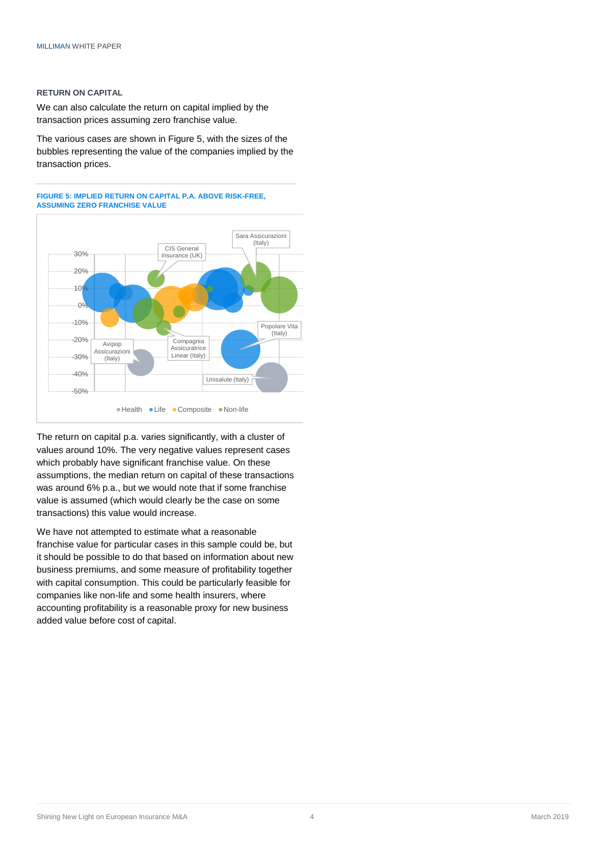#### **RETURN ON CAPITAL**

We can also calculate the return on capital implied by the transaction prices assuming zero franchise value.

The various cases are shown in Figure 5, with the sizes of the bubbles representing the value of the companies implied by the transaction prices.





The return on capital p.a. varies significantly, with a cluster of values around 10%. The very negative values represent cases which probably have significant franchise value. On these assumptions, the median return on capital of these transactions was around 6% p.a., but we would note that if some franchise value is assumed (which would clearly be the case on some transactions) this value would increase.

We have not attempted to estimate what a reasonable franchise value for particular cases in this sample could be, but it should be possible to do that based on information about new business premiums, and some measure of profitability together with capital consumption. This could be particularly feasible for companies like non-life and some health insurers, where accounting profitability is a reasonable proxy for new business added value before cost of capital.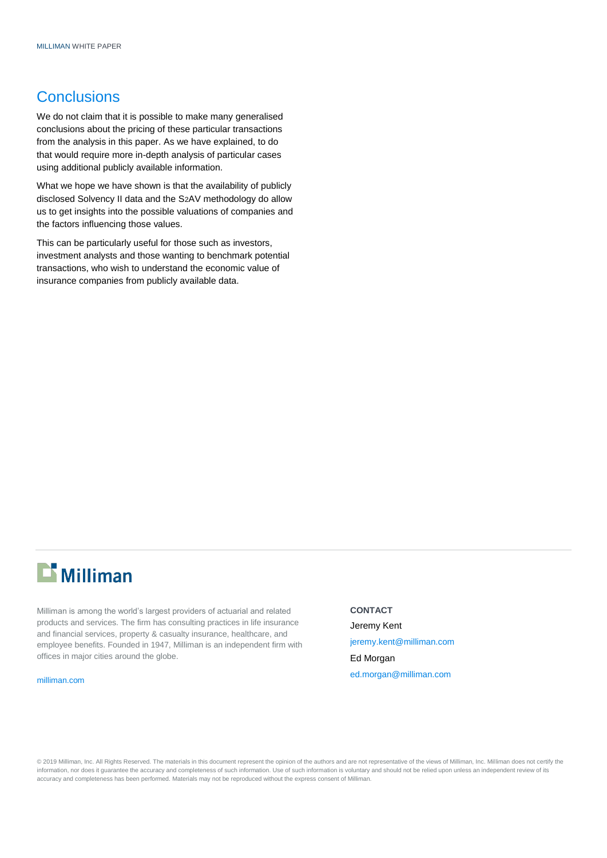### **Conclusions**

We do not claim that it is possible to make many generalised conclusions about the pricing of these particular transactions from the analysis in this paper. As we have explained, to do that would require more in-depth analysis of particular cases using additional publicly available information.

What we hope we have shown is that the availability of publicly disclosed Solvency II data and the S2AV methodology do allow us to get insights into the possible valuations of companies and the factors influencing those values.

This can be particularly useful for those such as investors, investment analysts and those wanting to benchmark potential transactions, who wish to understand the economic value of insurance companies from publicly available data.



Milliman is among the world's largest providers of actuarial and related products and services. The firm has consulting practices in life insurance and financial services, property & casualty insurance, healthcare, and employee benefits. Founded in 1947, Milliman is an independent firm with offices in major cities around the globe.

[milliman.com](http://www.milliman.com/)

**CONTACT** Jeremy Kent jerem[y.kent@milliman.com](mailto:.kent@milliman.com) Ed Morgan [ed.morgan@milliman.com](mailto:ed.morgan@milliman.com)

© 2019 Milliman, Inc. All Rights Reserved. The materials in this document represent the opinion of the authors and are not representative of the views of Milliman, Inc. Milliman does not certify the information, nor does it guarantee the accuracy and completeness of such information. Use of such information is voluntary and should not be relied upon unless an independent review of its accuracy and completeness has been performed. Materials may not be reproduced without the express consent of Milliman.